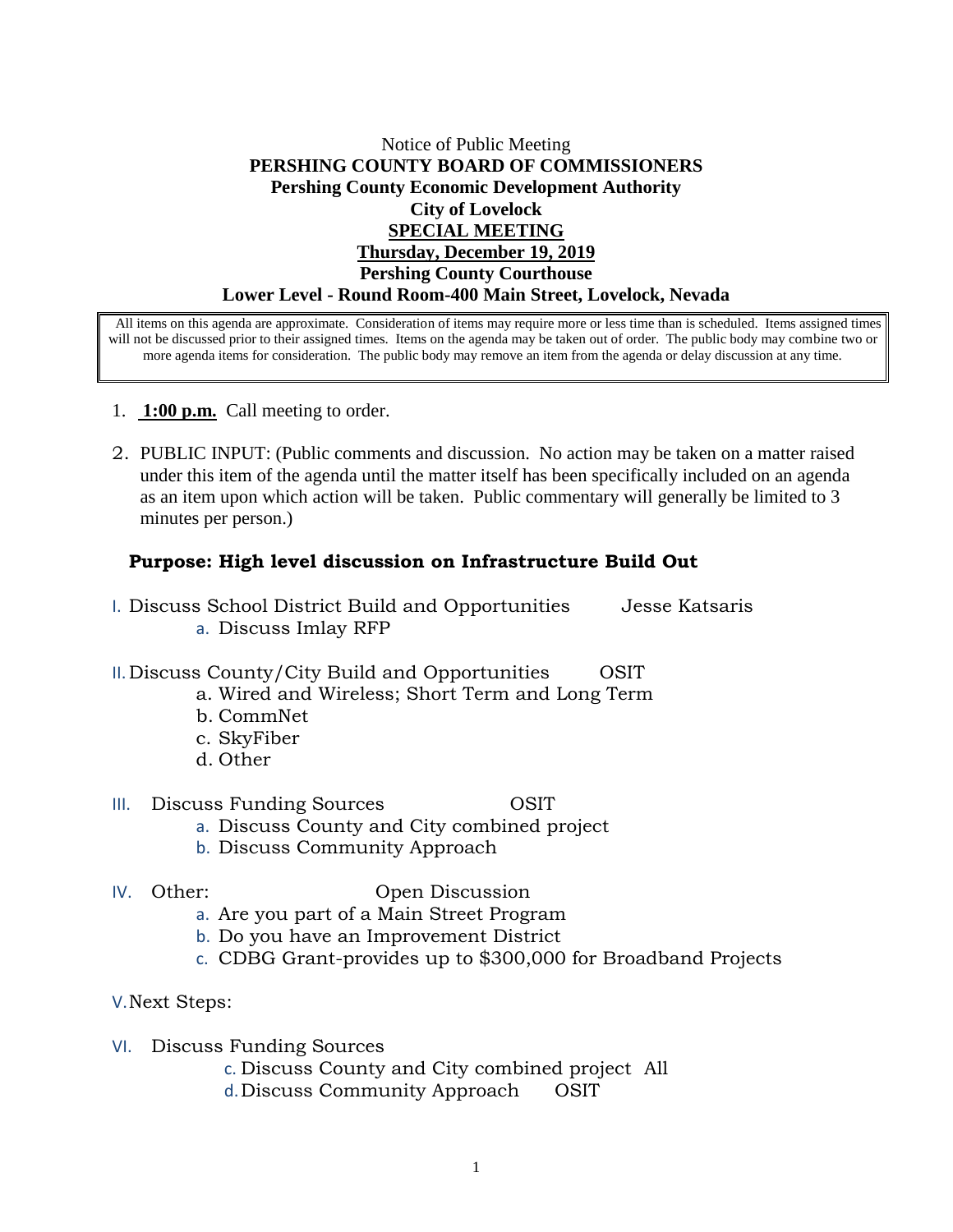## Notice of Public Meeting **PERSHING COUNTY BOARD OF COMMISSIONERS Pershing County Economic Development Authority City of Lovelock SPECIAL MEETING Thursday, December 19, 2019 Pershing County Courthouse Lower Level - Round Room-400 Main Street, Lovelock, Nevada**

All items on this agenda are approximate. Consideration of items may require more or less time than is scheduled. Items assigned times will not be discussed prior to their assigned times. Items on the agenda may be taken out of order. The public body may combine two or more agenda items for consideration. The public body may remove an item from the agenda or delay discussion at any time.

- 1. **1:00 p.m.** Call meeting to order.
- 2. PUBLIC INPUT: (Public comments and discussion. No action may be taken on a matter raised under this item of the agenda until the matter itself has been specifically included on an agenda as an item upon which action will be taken. Public commentary will generally be limited to 3 minutes per person.)

## **Purpose: High level discussion on Infrastructure Build Out**

- I. Discuss School District Build and Opportunities Jesse Katsaris a. Discuss Imlay RFP
- II. Discuss County/City Build and Opportunities OSIT
	- a. Wired and Wireless; Short Term and Long Term
		- b. CommNet
		- c. SkyFiber
		- d. Other

## III. Discuss Funding Sources OSIT

- a. Discuss County and City combined project
- b. Discuss Community Approach
- 

## IV. Other: Open Discussion

- a. Are you part of a Main Street Program
- b. Do you have an Improvement District
- c. CDBG Grant-provides up to \$300,000 for Broadband Projects
- V.Next Steps:
- VI. Discuss Funding Sources
	- c. Discuss County and City combined project All
	- d.Discuss Community Approach OSIT